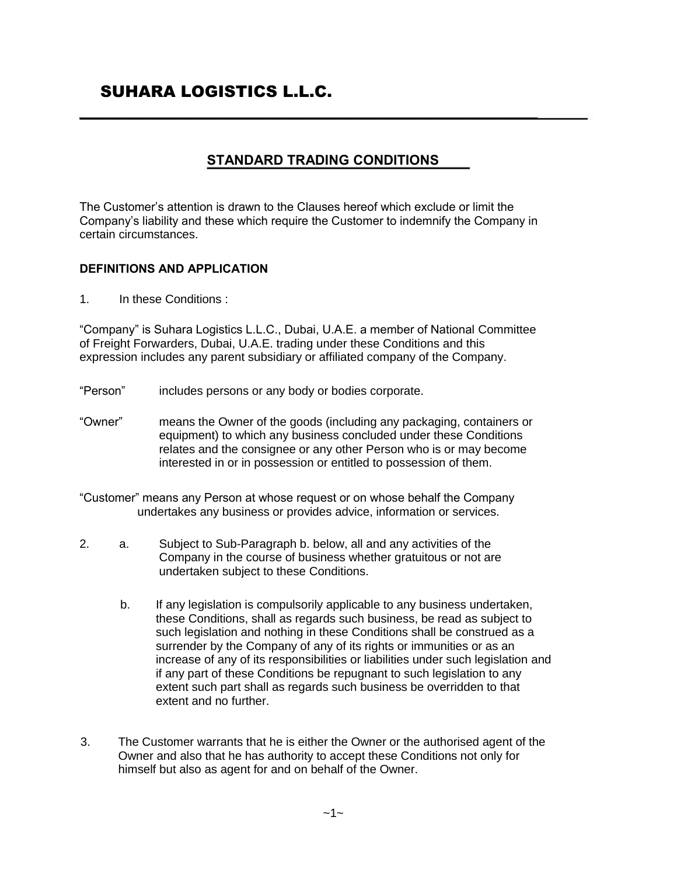# SUHARA LOGISTICS L.L.C.

# **STANDARD TRADING CONDITIONS**

The Customer's attention is drawn to the Clauses hereof which exclude or limit the Company's liability and these which require the Customer to indemnify the Company in certain circumstances.

**\_\_\_\_\_\_\_\_\_\_\_\_\_\_\_\_\_\_\_\_\_\_\_\_\_\_\_\_\_\_\_\_\_\_\_\_\_\_\_\_\_\_\_\_\_\_\_\_\_\_\_\_\_\_\_\_\_\_\_\_\_\_\_\_\_\_\_\_\_**

#### **DEFINITIONS AND APPLICATION**

1. In these Conditions :

"Company" is Suhara Logistics L.L.C., Dubai, U.A.E. a member of National Committee of Freight Forwarders, Dubai, U.A.E. trading under these Conditions and this expression includes any parent subsidiary or affiliated company of the Company.

- "Person" includes persons or any body or bodies corporate.
- "Owner" means the Owner of the goods (including any packaging, containers or equipment) to which any business concluded under these Conditions relates and the consignee or any other Person who is or may become interested in or in possession or entitled to possession of them.
- "Customer" means any Person at whose request or on whose behalf the Company undertakes any business or provides advice, information or services.
- 2. a. Subject to Sub-Paragraph b. below, all and any activities of the Company in the course of business whether gratuitous or not are undertaken subject to these Conditions.
	- If any legislation is compulsorily applicable to any business undertaken, these Conditions, shall as regards such business, be read as subject to such legislation and nothing in these Conditions shall be construed as a surrender by the Company of any of its rights or immunities or as an increase of any of its responsibilities or liabilities under such legislation and if any part of these Conditions be repugnant to such legislation to any extent such part shall as regards such business be overridden to that extent and no further. b.
- 3. The Customer warrants that he is either the Owner or the authorised agent of the Owner and also that he has authority to accept these Conditions not only for himself but also as agent for and on behalf of the Owner.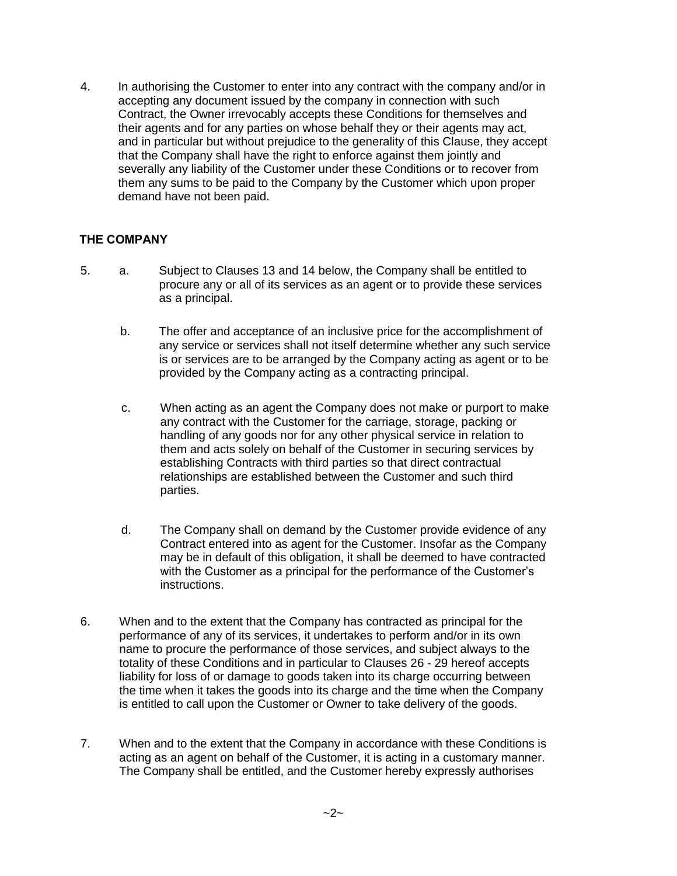4. In authorising the Customer to enter into any contract with the company and/or in accepting any document issued by the company in connection with such Contract, the Owner irrevocably accepts these Conditions for themselves and their agents and for any parties on whose behalf they or their agents may act, and in particular but without prejudice to the generality of this Clause, they accept that the Company shall have the right to enforce against them jointly and severally any liability of the Customer under these Conditions or to recover from them any sums to be paid to the Company by the Customer which upon proper demand have not been paid.

## **THE COMPANY**

- 5. a. Subject to Clauses 13 and 14 below, the Company shall be entitled to procure any or all of its services as an agent or to provide these services as a principal.
	- The offer and acceptance of an inclusive price for the accomplishment of any service or services shall not itself determine whether any such service is or services are to be arranged by the Company acting as agent or to be provided by the Company acting as a contracting principal. b.
	- When acting as an agent the Company does not make or purport to make any contract with the Customer for the carriage, storage, packing or handling of any goods nor for any other physical service in relation to them and acts solely on behalf of the Customer in securing services by establishing Contracts with third parties so that direct contractual relationships are established between the Customer and such third parties. c.
	- The Company shall on demand by the Customer provide evidence of any Contract entered into as agent for the Customer. Insofar as the Company may be in default of this obligation, it shall be deemed to have contracted with the Customer as a principal for the performance of the Customer's instructions. d.
- 6. When and to the extent that the Company has contracted as principal for the performance of any of its services, it undertakes to perform and/or in its own name to procure the performance of those services, and subject always to the totality of these Conditions and in particular to Clauses 26 - 29 hereof accepts liability for loss of or damage to goods taken into its charge occurring between the time when it takes the goods into its charge and the time when the Company is entitled to call upon the Customer or Owner to take delivery of the goods.
- When and to the extent that the Company in accordance with these Conditions is acting as an agent on behalf of the Customer, it is acting in a customary manner. The Company shall be entitled, and the Customer hereby expressly authorises 7.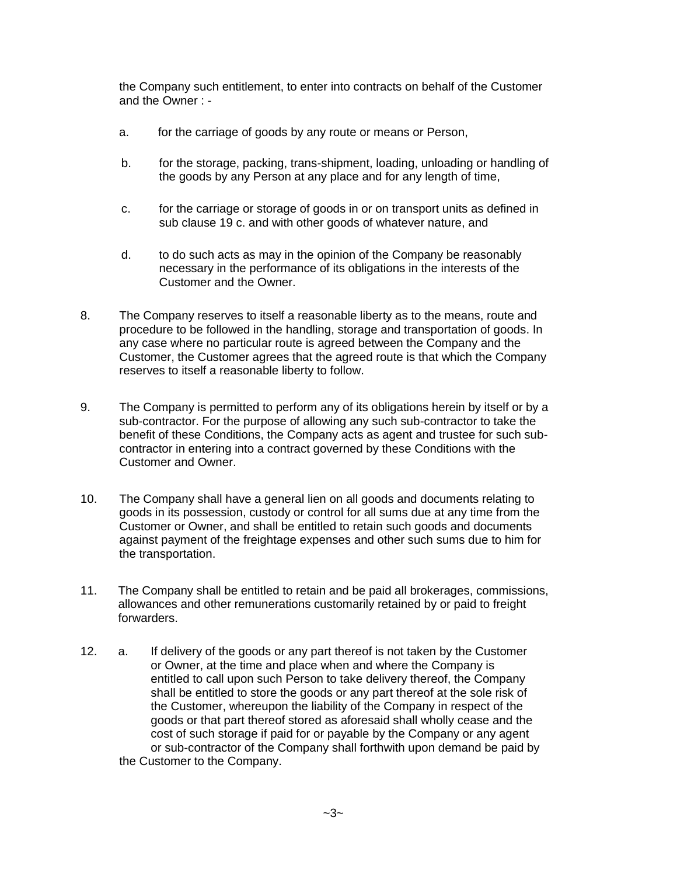the Company such entitlement, to enter into contracts on behalf of the Customer and the Owner : -

- a. for the carriage of goods by any route or means or Person,
- b. for the storage, packing, trans-shipment, loading, unloading or handling of the goods by any Person at any place and for any length of time,
- c. for the carriage or storage of goods in or on transport units as defined in sub clause 19 c. and with other goods of whatever nature, and
- d. to do such acts as may in the opinion of the Company be reasonably necessary in the performance of its obligations in the interests of the Customer and the Owner.
- 8. The Company reserves to itself a reasonable liberty as to the means, route and procedure to be followed in the handling, storage and transportation of goods. In any case where no particular route is agreed between the Company and the Customer, the Customer agrees that the agreed route is that which the Company reserves to itself a reasonable liberty to follow.
- The Company is permitted to perform any of its obligations herein by itself or by a sub-contractor. For the purpose of allowing any such sub-contractor to take the benefit of these Conditions, the Company acts as agent and trustee for such subcontractor in entering into a contract governed by these Conditions with the Customer and Owner. 9.
- The Company shall have a general lien on all goods and documents relating to goods in its possession, custody or control for all sums due at any time from the Customer or Owner, and shall be entitled to retain such goods and documents against payment of the freightage expenses and other such sums due to him for the transportation. 10.
- The Company shall be entitled to retain and be paid all brokerages, commissions, allowances and other remunerations customarily retained by or paid to freight forwarders. 11.
- a. If delivery of the goods or any part thereof is not taken by the Customer or Owner, at the time and place when and where the Company is entitled to call upon such Person to take delivery thereof, the Company shall be entitled to store the goods or any part thereof at the sole risk of the Customer, whereupon the liability of the Company in respect of the goods or that part thereof stored as aforesaid shall wholly cease and the cost of such storage if paid for or payable by the Company or any agent or sub-contractor of the Company shall forthwith upon demand be paid by the Customer to the Company. 12.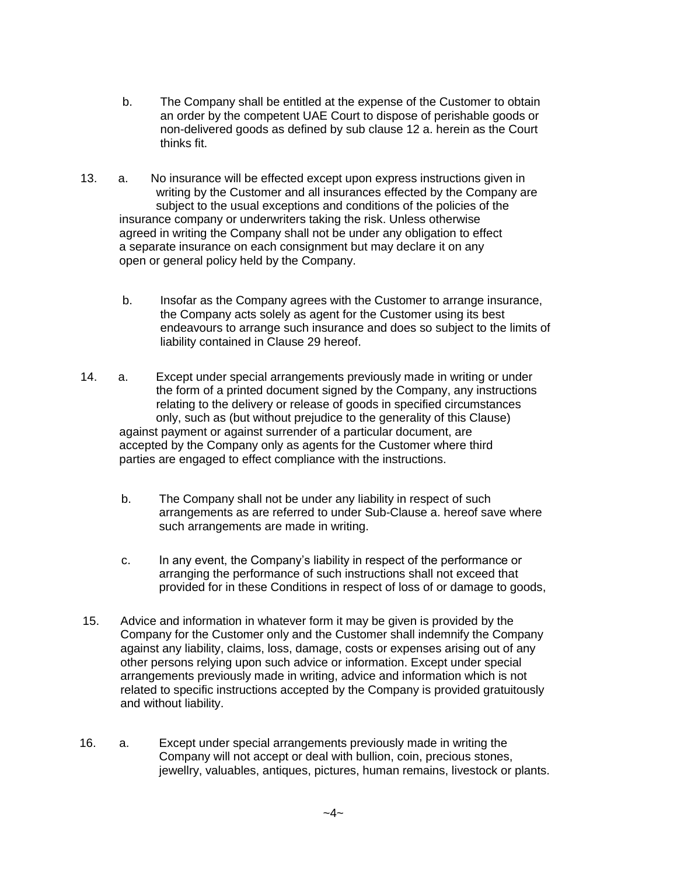- b. The Company shall be entitled at the expense of the Customer to obtain an order by the competent UAE Court to dispose of perishable goods or non-delivered goods as defined by sub clause 12 a. herein as the Court thinks fit.
- 13. a. No insurance will be effected except upon express instructions given in writing by the Customer and all insurances effected by the Company are subject to the usual exceptions and conditions of the policies of the insurance company or underwriters taking the risk. Unless otherwise agreed in writing the Company shall not be under any obligation to effect a separate insurance on each consignment but may declare it on any open or general policy held by the Company.
	- b. Insofar as the Company agrees with the Customer to arrange insurance, the Company acts solely as agent for the Customer using its best endeavours to arrange such insurance and does so subject to the limits of liability contained in Clause 29 hereof.
- 14. a. Except under special arrangements previously made in writing or under the form of a printed document signed by the Company, any instructions relating to the delivery or release of goods in specified circumstances only, such as (but without prejudice to the generality of this Clause) against payment or against surrender of a particular document, are accepted by the Company only as agents for the Customer where third parties are engaged to effect compliance with the instructions.
	- b. The Company shall not be under any liability in respect of such arrangements as are referred to under Sub-Clause a. hereof save where such arrangements are made in writing.
	- In any event, the Company's liability in respect of the performance or arranging the performance of such instructions shall not exceed that provided for in these Conditions in respect of loss of or damage to goods, c.
- 15. Advice and information in whatever form it may be given is provided by the Company for the Customer only and the Customer shall indemnify the Company against any liability, claims, loss, damage, costs or expenses arising out of any other persons relying upon such advice or information. Except under special arrangements previously made in writing, advice and information which is not related to specific instructions accepted by the Company is provided gratuitously and without liability.
- a. Except under special arrangements previously made in writing the Company will not accept or deal with bullion, coin, precious stones, jewellry, valuables, antiques, pictures, human remains, livestock or plants. 16.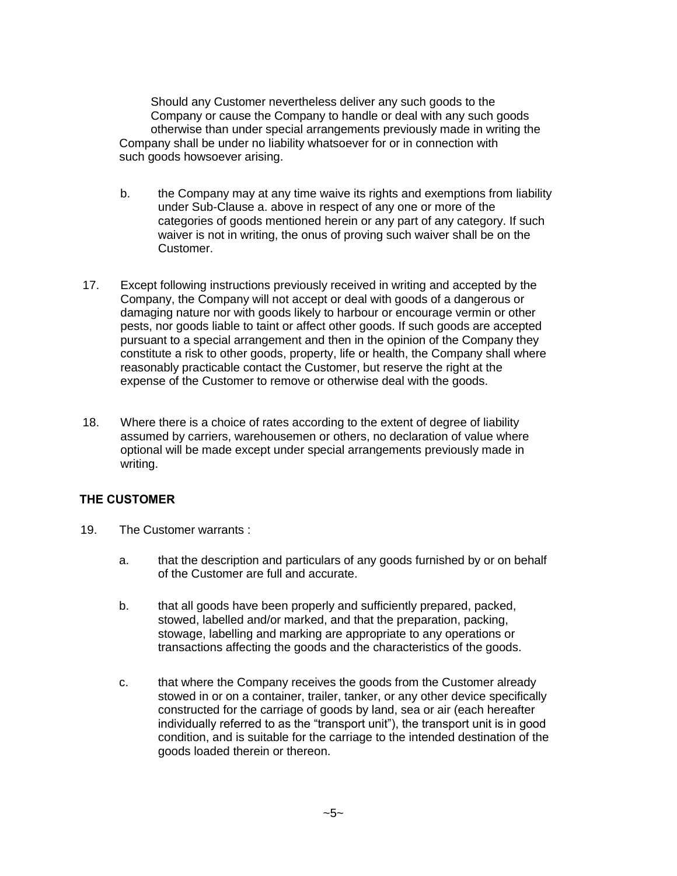Should any Customer nevertheless deliver any such goods to the Company or cause the Company to handle or deal with any such goods otherwise than under special arrangements previously made in writing the Company shall be under no liability whatsoever for or in connection with such goods howsoever arising.

- b. the Company may at any time waive its rights and exemptions from liability under Sub-Clause a. above in respect of any one or more of the categories of goods mentioned herein or any part of any category. If such waiver is not in writing, the onus of proving such waiver shall be on the Customer.
- 17. Except following instructions previously received in writing and accepted by the Company, the Company will not accept or deal with goods of a dangerous or damaging nature nor with goods likely to harbour or encourage vermin or other pests, nor goods liable to taint or affect other goods. If such goods are accepted pursuant to a special arrangement and then in the opinion of the Company they constitute a risk to other goods, property, life or health, the Company shall where reasonably practicable contact the Customer, but reserve the right at the expense of the Customer to remove or otherwise deal with the goods.
- Where there is a choice of rates according to the extent of degree of liability assumed by carriers, warehousemen or others, no declaration of value where optional will be made except under special arrangements previously made in writing. 18.

## **THE CUSTOMER**

- 19. The Customer warrants :
	- a. that the description and particulars of any goods furnished by or on behalf of the Customer are full and accurate.
	- b. that all goods have been properly and sufficiently prepared, packed, stowed, labelled and/or marked, and that the preparation, packing, stowage, labelling and marking are appropriate to any operations or transactions affecting the goods and the characteristics of the goods.
	- that where the Company receives the goods from the Customer already stowed in or on a container, trailer, tanker, or any other device specifically constructed for the carriage of goods by land, sea or air (each hereafter individually referred to as the "transport unit"), the transport unit is in good condition, and is suitable for the carriage to the intended destination of the goods loaded therein or thereon. c.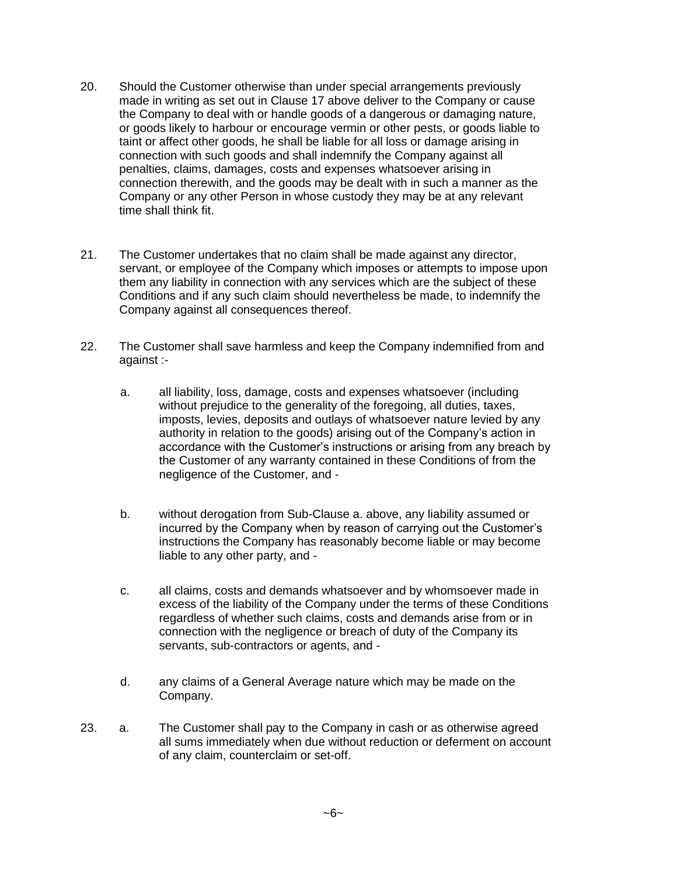- 20. Should the Customer otherwise than under special arrangements previously made in writing as set out in Clause 17 above deliver to the Company or cause the Company to deal with or handle goods of a dangerous or damaging nature, or goods likely to harbour or encourage vermin or other pests, or goods liable to taint or affect other goods, he shall be liable for all loss or damage arising in connection with such goods and shall indemnify the Company against all penalties, claims, damages, costs and expenses whatsoever arising in connection therewith, and the goods may be dealt with in such a manner as the Company or any other Person in whose custody they may be at any relevant time shall think fit.
- The Customer undertakes that no claim shall be made against any director, servant, or employee of the Company which imposes or attempts to impose upon them any liability in connection with any services which are the subject of these Conditions and if any such claim should nevertheless be made, to indemnify the Company against all consequences thereof. 21.
- The Customer shall save harmless and keep the Company indemnified from and against :- 22.
	- a. all liability, loss, damage, costs and expenses whatsoever (including without prejudice to the generality of the foregoing, all duties, taxes, imposts, levies, deposits and outlays of whatsoever nature levied by any authority in relation to the goods) arising out of the Company's action in accordance with the Customer's instructions or arising from any breach by the Customer of any warranty contained in these Conditions of from the negligence of the Customer, and -
	- without derogation from Sub-Clause a. above, any liability assumed or incurred by the Company when by reason of carrying out the Customer's instructions the Company has reasonably become liable or may become liable to any other party, and b.
	- all claims, costs and demands whatsoever and by whomsoever made in excess of the liability of the Company under the terms of these Conditions regardless of whether such claims, costs and demands arise from or in connection with the negligence or breach of duty of the Company its servants, sub-contractors or agents, and c.
	- any claims of a General Average nature which may be made on the Company. d.
- The Customer shall pay to the Company in cash or as otherwise agreed all sums immediately when due without reduction or deferment on account of any claim, counterclaim or set-off. 23. a.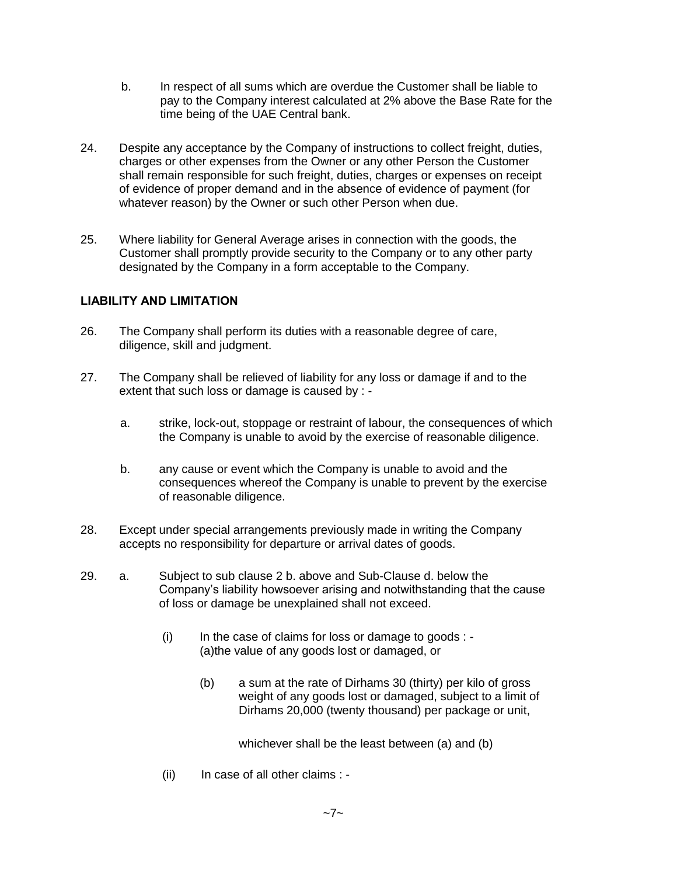- b. In respect of all sums which are overdue the Customer shall be liable to pay to the Company interest calculated at 2% above the Base Rate for the time being of the UAE Central bank.
- 24. Despite any acceptance by the Company of instructions to collect freight, duties, charges or other expenses from the Owner or any other Person the Customer shall remain responsible for such freight, duties, charges or expenses on receipt of evidence of proper demand and in the absence of evidence of payment (for whatever reason) by the Owner or such other Person when due.
- Where liability for General Average arises in connection with the goods, the Customer shall promptly provide security to the Company or to any other party designated by the Company in a form acceptable to the Company. 25.

## **LIABILITY AND LIMITATION**

- 26. The Company shall perform its duties with a reasonable degree of care, diligence, skill and judgment.
- 27. The Company shall be relieved of liability for any loss or damage if and to the extent that such loss or damage is caused by :
	- a. strike, lock-out, stoppage or restraint of labour, the consequences of which the Company is unable to avoid by the exercise of reasonable diligence.
	- b. any cause or event which the Company is unable to avoid and the consequences whereof the Company is unable to prevent by the exercise of reasonable diligence.
- 28. Except under special arrangements previously made in writing the Company accepts no responsibility for departure or arrival dates of goods.
- 29. a. Subject to sub clause 2 b. above and Sub-Clause d. below the Company's liability howsoever arising and notwithstanding that the cause of loss or damage be unexplained shall not exceed.
	- $(i)$  In the case of claims for loss or damage to goods : -(a)the value of any goods lost or damaged, or
		- (b) a sum at the rate of Dirhams 30 (thirty) per kilo of gross weight of any goods lost or damaged, subject to a limit of Dirhams 20,000 (twenty thousand) per package or unit,

whichever shall be the least between (a) and (b)

(ii) In case of all other claims : -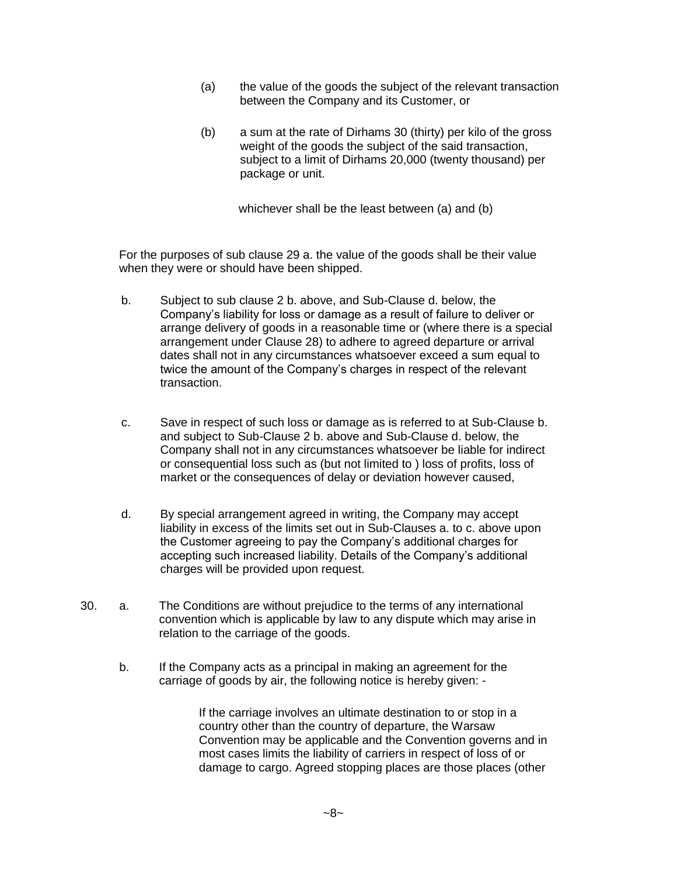- (a) the value of the goods the subject of the relevant transaction between the Company and its Customer, or
- (b) a sum at the rate of Dirhams 30 (thirty) per kilo of the gross weight of the goods the subject of the said transaction. subject to a limit of Dirhams 20,000 (twenty thousand) per package or unit.

whichever shall be the least between (a) and (b)

For the purposes of sub clause 29 a. the value of the goods shall be their value when they were or should have been shipped.

- b. Subject to sub clause 2 b. above, and Sub-Clause d. below, the Company's liability for loss or damage as a result of failure to deliver or arrange delivery of goods in a reasonable time or (where there is a special arrangement under Clause 28) to adhere to agreed departure or arrival dates shall not in any circumstances whatsoever exceed a sum equal to twice the amount of the Company's charges in respect of the relevant transaction.
- Save in respect of such loss or damage as is referred to at Sub-Clause b. and subject to Sub-Clause 2 b. above and Sub-Clause d. below, the Company shall not in any circumstances whatsoever be liable for indirect or consequential loss such as (but not limited to ) loss of profits, loss of market or the consequences of delay or deviation however caused, c.
- By special arrangement agreed in writing, the Company may accept liability in excess of the limits set out in Sub-Clauses a. to c. above upon the Customer agreeing to pay the Company's additional charges for accepting such increased liability. Details of the Company's additional charges will be provided upon request. d.
- The Conditions are without prejudice to the terms of any international convention which is applicable by law to any dispute which may arise in relation to the carriage of the goods. 30. a.
	- If the Company acts as a principal in making an agreement for the carriage of goods by air, the following notice is hereby given: b.

If the carriage involves an ultimate destination to or stop in a country other than the country of departure, the Warsaw Convention may be applicable and the Convention governs and in most cases limits the liability of carriers in respect of loss of or damage to cargo. Agreed stopping places are those places (other